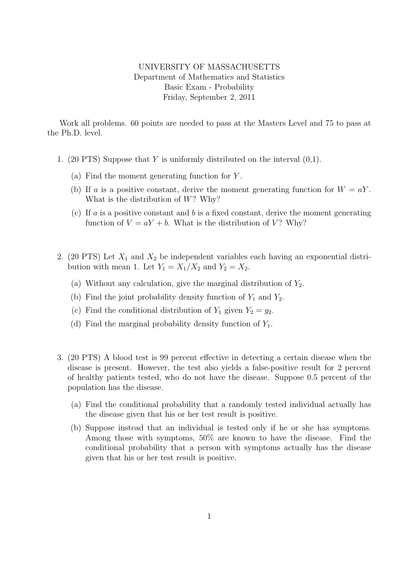## UNIVERSITY OF MASSACHUSETTS Department of Mathematics and Statistics Basic Exam - Probability Friday, September 2, 2011

Work all problems. 60 points are needed to pass at the Masters Level and 75 to pass at the Ph.D. level.

- 1. (20 PTS) Suppose that Y is uniformly distributed on the interval  $(0,1)$ .
	- (a) Find the moment generating function for Y .
	- (b) If a is a positive constant, derive the moment generating function for  $W = aY$ . What is the distribution of  $W$ ? Why?
	- (c) If a is a positive constant and b is a fixed constant, derive the moment generating function of  $V = aY + b$ . What is the distribution of V? Why?
- 2. (20 PTS) Let  $X_1$  and  $X_2$  be independent variables each having an exponential distribution with mean 1. Let  $Y_1 = X_1/X_2$  and  $Y_2 = X_2$ .
	- (a) Without any calculation, give the marginal distribution of  $Y_2$ .
	- (b) Find the joint probability density function of  $Y_1$  and  $Y_2$ .
	- (c) Find the conditional distribution of  $Y_1$  given  $Y_2 = y_2$ .
	- (d) Find the marginal probability density function of  $Y_1$ .
- 3. (20 PTS) A blood test is 99 percent effective in detecting a certain disease when the disease is present. However, the test also yields a false-positive result for 2 percent of healthy patients tested, who do not have the disease. Suppose 0.5 percent of the population has the disease.
	- (a) Find the conditional probability that a randomly tested individual actually has the disease given that his or her test result is positive.
	- (b) Suppose instead that an individual is tested only if he or she has symptoms. Among those with symptoms, 50% are known to have the disease. Find the conditional probability that a person with symptoms actually has the disease given that his or her test result is positive.